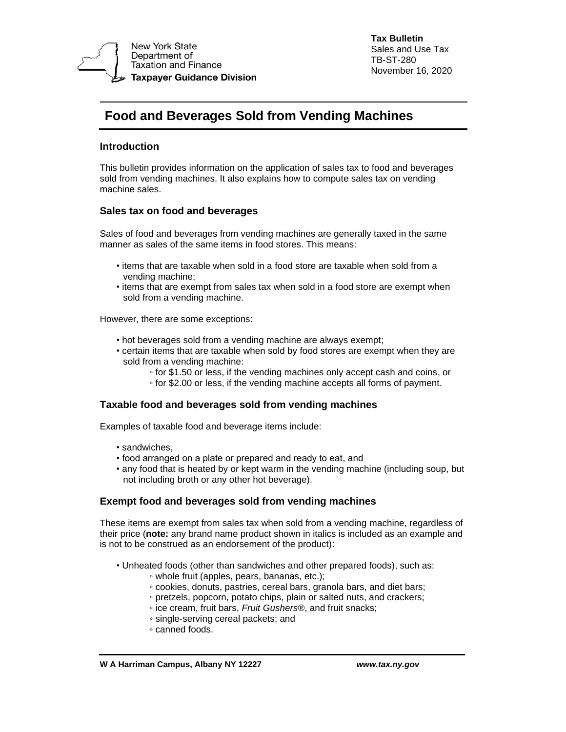

**Tax Bulletin** Sales and Use Tax TB-ST-280 November 16, 2020

# **Food and Beverages Sold from Vending Machines**

# **Introduction**

This bulletin provides information on the application of sales tax to food and beverages sold from vending machines. It also explains how to compute sales tax on vending machine sales.

## **Sales tax on food and beverages**

Sales of food and beverages from vending machines are generally taxed in the same manner as sales of the same items in food stores. This means:

- items that are taxable when sold in a food store are taxable when sold from a vending machine;
- items that are exempt from sales tax when sold in a food store are exempt when sold from a vending machine.

However, there are some exceptions:

- hot beverages sold from a vending machine are always exempt;
- certain items that are taxable when sold by food stores are exempt when they are sold from a vending machine:
	- for \$1.50 or less, if the vending machines only accept cash and coins, or
	- for \$2.00 or less, if the vending machine accepts all forms of payment.

### **Taxable food and beverages sold from vending machines**

Examples of taxable food and beverage items include:

- sandwiches,
- food arranged on a plate or prepared and ready to eat, and
- any food that is heated by or kept warm in the vending machine (including soup, but not including broth or any other hot beverage).

### **Exempt food and beverages sold from vending machines**

These items are exempt from sales tax when sold from a vending machine, regardless of their price (**note:** any brand name product shown in italics is included as an example and is not to be construed as an endorsement of the product):

- Unheated foods (other than sandwiches and other prepared foods), such as:
	- whole fruit (apples, pears, bananas, etc.);
	- cookies, donuts, pastries, cereal bars, granola bars, and diet bars;
	- pretzels, popcorn, potato chips, plain or salted nuts, and crackers;
	- ice cream, fruit bars, *Fruit Gushers*®, and fruit snacks;
	- single-serving cereal packets; and
	- canned foods.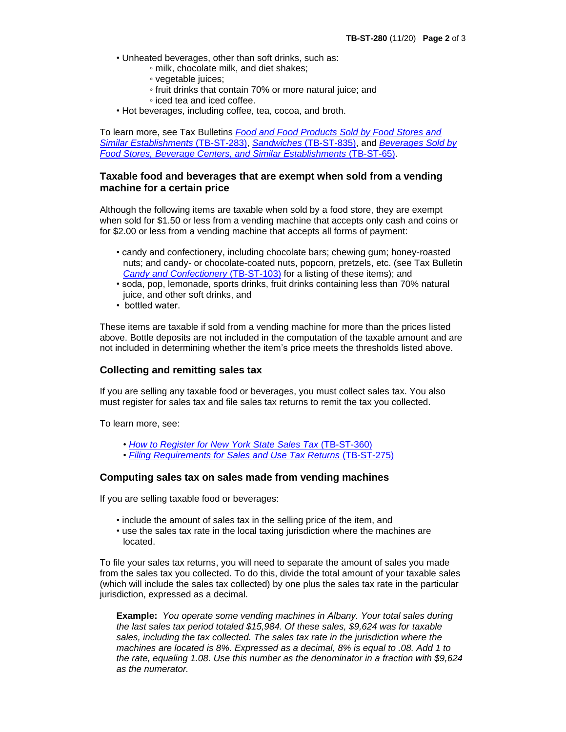- Unheated beverages, other than soft drinks, such as:
	- milk, chocolate milk, and diet shakes;
	- vegetable juices;
	- fruit drinks that contain 70% or more natural juice; and
	- iced tea and iced coffee.
- Hot beverages, including coffee, tea, cocoa, and broth.

To learn more, see Tax Bulletins *[Food and Food Products Sold by Food Stores and](http://www.tax.ny.gov/pubs_and_bulls/tg_bulletins/st/food_sold_by_food_stores.htm)  [Similar Establishments](http://www.tax.ny.gov/pubs_and_bulls/tg_bulletins/st/food_sold_by_food_stores.htm)* (TB-ST-283), *Sandwiches* [\(TB-ST-835\),](http://www.tax.ny.gov/pubs_and_bulls/tg_bulletins/st/sandwiches.htm) and *[Beverages Sold by](http://www.tax.ny.gov/pubs_and_bulls/tg_bulletins/st/beverages_sold_by_food_stores.htm)  [Food Stores, Beverage Centers, and Similar Establishments](http://www.tax.ny.gov/pubs_and_bulls/tg_bulletins/st/beverages_sold_by_food_stores.htm)* (TB-ST-65).

## **Taxable food and beverages that are exempt when sold from a vending machine for a certain price**

Although the following items are taxable when sold by a food store, they are exempt when sold for \$1.50 or less from a vending machine that accepts only cash and coins or for \$2.00 or less from a vending machine that accepts all forms of payment:

- candy and confectionery, including chocolate bars; chewing gum; honey-roasted nuts; and candy- or chocolate-coated nuts, popcorn, pretzels, etc. (see Tax Bulletin *[Candy and Confectionery](http://www.tax.ny.gov/pubs_and_bulls/tg_bulletins/st/candy_and_confectionery.htm)* (TB-ST-103) for a listing of these items); and
- soda, pop, lemonade, sports drinks, fruit drinks containing less than 70% natural juice, and other soft drinks, and
- bottled water.

These items are taxable if sold from a vending machine for more than the prices listed above. Bottle deposits are not included in the computation of the taxable amount and are not included in determining whether the item's price meets the thresholds listed above.

#### **Collecting and remitting sales tax**

If you are selling any taxable food or beverages, you must collect sales tax. You also must register for sales tax and file sales tax returns to remit the tax you collected.

To learn more, see:

- *• [How to Register for New York State Sales Tax](http://www.tax.ny.gov/pubs_and_bulls/tg_bulletins/st/how_to_register_for_nys_sales_tax.htm)* (TB-ST-360)
- *[Filing Requirements for Sales and Use Tax Returns](http://www.tax.ny.gov/pubs_and_bulls/tg_bulletins/st/filing_requirements_for_sales_and_use_tax_returns.htm)* (TB-ST-275)

#### **Computing sales tax on sales made from vending machines**

If you are selling taxable food or beverages:

- include the amount of sales tax in the selling price of the item, and
- use the sales tax rate in the local taxing jurisdiction where the machines are located.

To file your sales tax returns, you will need to separate the amount of sales you made from the sales tax you collected. To do this, divide the total amount of your taxable sales (which will include the sales tax collected) by one plus the sales tax rate in the particular jurisdiction, expressed as a decimal.

**Example:** *You operate some vending machines in Albany. Your total sales during the last sales tax period totaled \$15,984. Of these sales, \$9,624 was for taxable sales, including the tax collected. The sales tax rate in the jurisdiction where the machines are located is 8%. Expressed as a decimal, 8% is equal to .08. Add 1 to the rate, equaling 1.08. Use this number as the denominator in a fraction with \$9,624 as the numerator.*